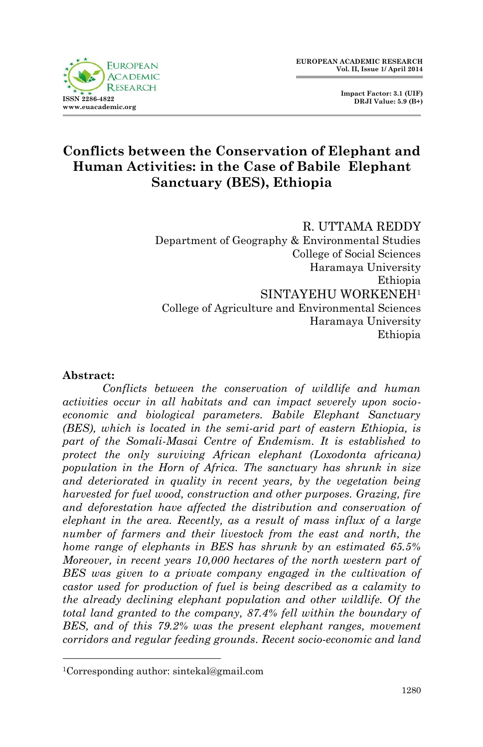



## **Conflicts between the Conservation of Elephant and Human Activities: in the Case of Babile Elephant Sanctuary (BES), Ethiopia**

R. UTTAMA REDDY Department of Geography & Environmental Studies College of Social Sciences Haramaya University Ethiopia SINTAYEHU WORKENEH<sup>1</sup> College of Agriculture and Environmental Sciences Haramaya University Ethiopia

#### **Abstract:**

1

*Conflicts between the conservation of wildlife and human activities occur in all habitats and can impact severely upon socioeconomic and biological parameters. Babile Elephant Sanctuary (BES), which is located in the semi-arid part of eastern Ethiopia, is part of the Somali-Masai Centre of Endemism. It is established to protect the only surviving African elephant (Loxodonta africana) population in the Horn of Africa. The sanctuary has shrunk in size and deteriorated in quality in recent years, by the vegetation being harvested for fuel wood, construction and other purposes. Grazing, fire and deforestation have affected the distribution and conservation of elephant in the area. Recently, as a result of mass influx of a large number of farmers and their livestock from the east and north, the home range of elephants in BES has shrunk by an estimated 65.5% Moreover, in recent years 10,000 hectares of the north western part of BES was given to a private company engaged in the cultivation of castor used for production of fuel is being described as a calamity to the already declining elephant population and other wildlife. Of the total land granted to the company, 87.4% fell within the boundary of BES, and of this 79.2% was the present elephant ranges, movement corridors and regular feeding grounds. Recent socio-economic and land* 

<sup>1</sup>Corresponding author: sintekal@gmail.com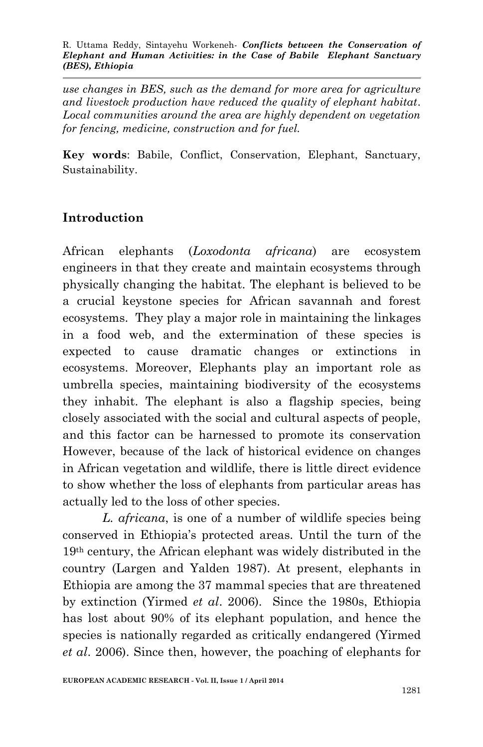*use changes in BES, such as the demand for more area for agriculture and livestock production have reduced the quality of elephant habitat. Local communities around the area are highly dependent on vegetation for fencing, medicine, construction and for fuel.* 

**Key words**: Babile, Conflict, Conservation, Elephant, Sanctuary, Sustainability.

# **Introduction**

African elephants (*Loxodonta africana*) are ecosystem engineers in that they create and maintain ecosystems through physically changing the habitat. The elephant is believed to be a crucial keystone species for African savannah and forest ecosystems. They play a major role in maintaining the linkages in a food web, and the extermination of these species is expected to cause dramatic changes or extinctions in ecosystems. Moreover, Elephants play an important role as umbrella species, maintaining biodiversity of the ecosystems they inhabit. The elephant is also a flagship species, being closely associated with the social and cultural aspects of people, and this factor can be harnessed to promote its conservation However, because of the lack of historical evidence on changes in African vegetation and wildlife, there is little direct evidence to show whether the loss of elephants from particular areas has actually led to the loss of other species.

*L. africana*, is one of a number of wildlife species being conserved in Ethiopia's protected areas. Until the turn of the 19th century, the African elephant was widely distributed in the country (Largen and Yalden 1987). At present, elephants in Ethiopia are among the 37 mammal species that are threatened by extinction (Yirmed *et al*. 2006). Since the 1980s, Ethiopia has lost about 90% of its elephant population, and hence the species is nationally regarded as critically endangered (Yirmed *et al*. 2006). Since then, however, the poaching of elephants for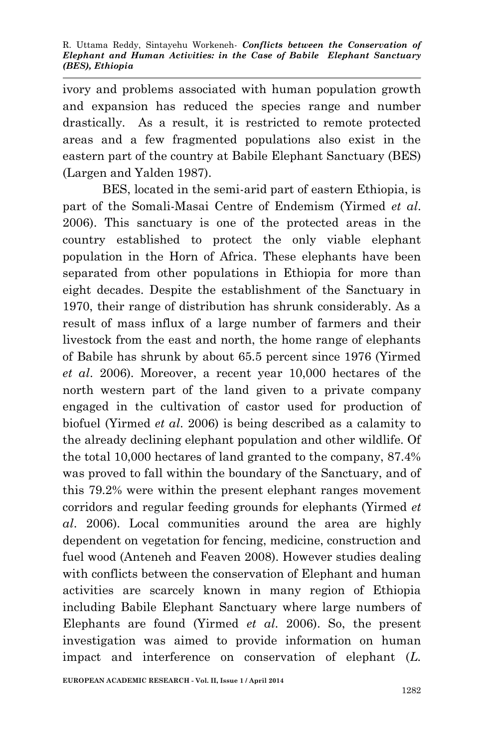ivory and problems associated with human population growth and expansion has reduced the species range and number drastically. As a result, it is restricted to remote protected areas and a few fragmented populations also exist in the eastern part of the country at Babile Elephant Sanctuary (BES) (Largen and Yalden 1987).

BES, located in the semi-arid part of eastern Ethiopia, is part of the Somali-Masai Centre of Endemism (Yirmed *et al*. 2006). This sanctuary is one of the protected areas in the country established to protect the only viable elephant population in the Horn of Africa. These elephants have been separated from other populations in Ethiopia for more than eight decades. Despite the establishment of the Sanctuary in 1970, their range of distribution has shrunk considerably. As a result of mass influx of a large number of farmers and their livestock from the east and north, the home range of elephants of Babile has shrunk by about 65.5 percent since 1976 (Yirmed *et al*. 2006). Moreover, a recent year 10,000 hectares of the north western part of the land given to a private company engaged in the cultivation of castor used for production of biofuel (Yirmed *et al*. 2006) is being described as a calamity to the already declining elephant population and other wildlife. Of the total 10,000 hectares of land granted to the company, 87.4% was proved to fall within the boundary of the Sanctuary, and of this 79.2% were within the present elephant ranges movement corridors and regular feeding grounds for elephants (Yirmed *et al*. 2006). Local communities around the area are highly dependent on vegetation for fencing, medicine, construction and fuel wood (Anteneh and Feaven 2008). However studies dealing with conflicts between the conservation of Elephant and human activities are scarcely known in many region of Ethiopia including Babile Elephant Sanctuary where large numbers of Elephants are found (Yirmed *et al*. 2006). So, the present investigation was aimed to provide information on human impact and interference on conservation of elephant (*L.*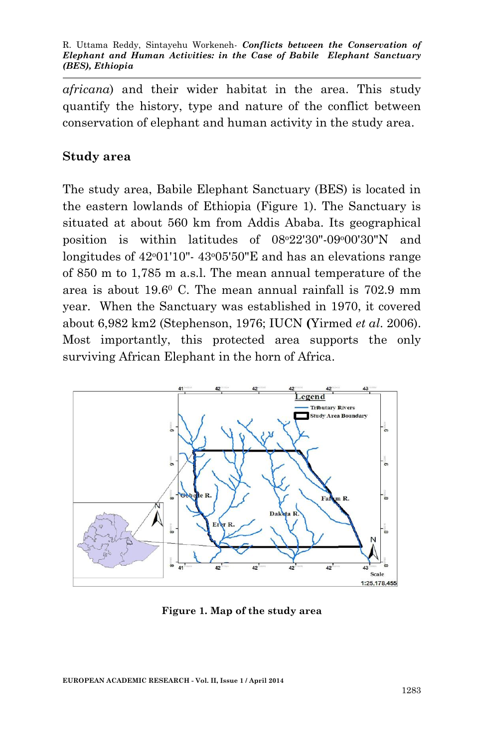*africana*) and their wider habitat in the area. This study quantify the history, type and nature of the conflict between conservation of elephant and human activity in the study area.

## **Study area**

The study area, Babile Elephant Sanctuary (BES) is located in the eastern lowlands of Ethiopia (Figure 1). The Sanctuary is situated at about 560 km from Addis Ababa. Its geographical position is within latitudes of  $08°22'30"$ -09°00'30"N and longitudes of  $42^{\circ}01'10''$ -  $43^{\circ}05'50''E$  and has an elevations range of 850 m to 1,785 m a.s.l. The mean annual temperature of the area is about 19.6<sup>0</sup> C. The mean annual rainfall is 702.9 mm year. When the Sanctuary was established in 1970, it covered about 6,982 km2 (Stephenson, 1976; IUCN **(**Yirmed *et al*. 2006). Most importantly, this protected area supports the only surviving African Elephant in the horn of Africa.



**Figure 1. Map of the study area**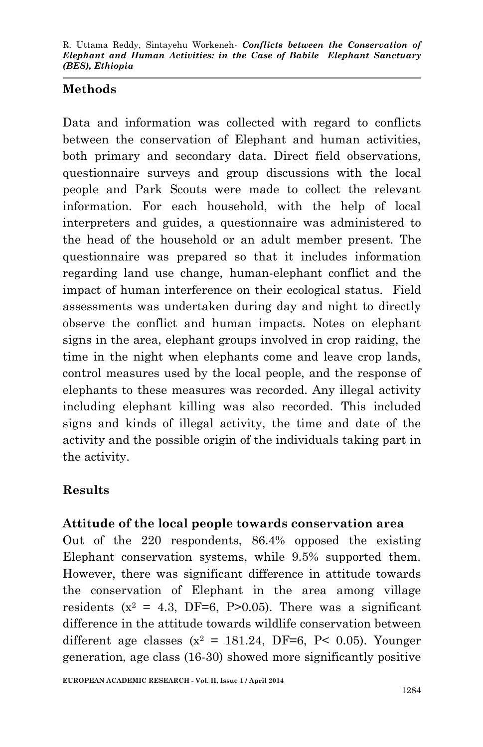#### **Methods**

Data and information was collected with regard to conflicts between the conservation of Elephant and human activities, both primary and secondary data. Direct field observations, questionnaire surveys and group discussions with the local people and Park Scouts were made to collect the relevant information. For each household, with the help of local interpreters and guides, a questionnaire was administered to the head of the household or an adult member present. The questionnaire was prepared so that it includes information regarding land use change, human-elephant conflict and the impact of human interference on their ecological status. Field assessments was undertaken during day and night to directly observe the conflict and human impacts. Notes on elephant signs in the area, elephant groups involved in crop raiding, the time in the night when elephants come and leave crop lands, control measures used by the local people, and the response of elephants to these measures was recorded. Any illegal activity including elephant killing was also recorded. This included signs and kinds of illegal activity, the time and date of the activity and the possible origin of the individuals taking part in the activity.

## **Results**

## **Attitude of the local people towards conservation area**

Out of the 220 respondents, 86.4% opposed the existing Elephant conservation systems, while 9.5% supported them. However, there was significant difference in attitude towards the conservation of Elephant in the area among village residents ( $x^2 = 4.3$ , DF=6, P>0.05). There was a significant difference in the attitude towards wildlife conservation between different age classes  $(x^2 = 181.24, DF=6, P< 0.05)$ . Younger generation, age class (16-30) showed more significantly positive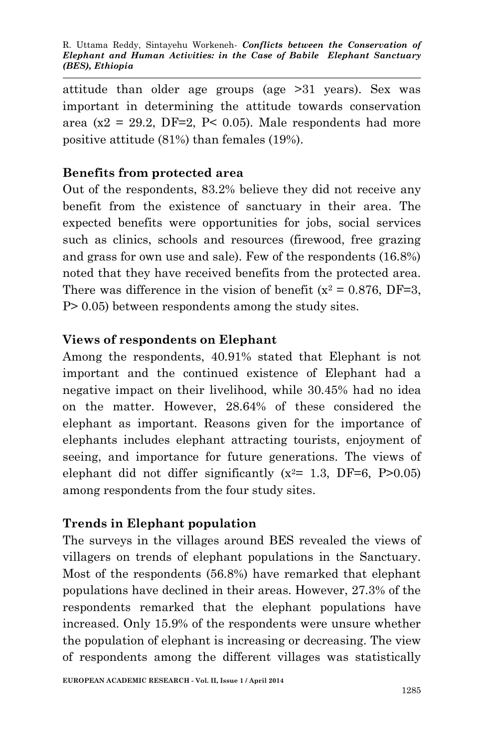attitude than older age groups (age >31 years). Sex was important in determining the attitude towards conservation area (x2 = 29.2, DF=2, P< 0.05). Male respondents had more positive attitude (81%) than females (19%).

#### **Benefits from protected area**

Out of the respondents, 83.2% believe they did not receive any benefit from the existence of sanctuary in their area. The expected benefits were opportunities for jobs, social services such as clinics, schools and resources (firewood, free grazing and grass for own use and sale). Few of the respondents (16.8%) noted that they have received benefits from the protected area. There was difference in the vision of benefit ( $x^2 = 0.876$ , DF=3, P> 0.05) between respondents among the study sites.

#### **Views of respondents on Elephant**

Among the respondents, 40.91% stated that Elephant is not important and the continued existence of Elephant had a negative impact on their livelihood, while 30.45% had no idea on the matter. However, 28.64% of these considered the elephant as important. Reasons given for the importance of elephants includes elephant attracting tourists, enjoyment of seeing, and importance for future generations. The views of elephant did not differ significantly  $(x^2= 1.3, DF=6, P>0.05)$ among respondents from the four study sites.

## **Trends in Elephant population**

The surveys in the villages around BES revealed the views of villagers on trends of elephant populations in the Sanctuary. Most of the respondents (56.8%) have remarked that elephant populations have declined in their areas. However, 27.3% of the respondents remarked that the elephant populations have increased. Only 15.9% of the respondents were unsure whether the population of elephant is increasing or decreasing. The view of respondents among the different villages was statistically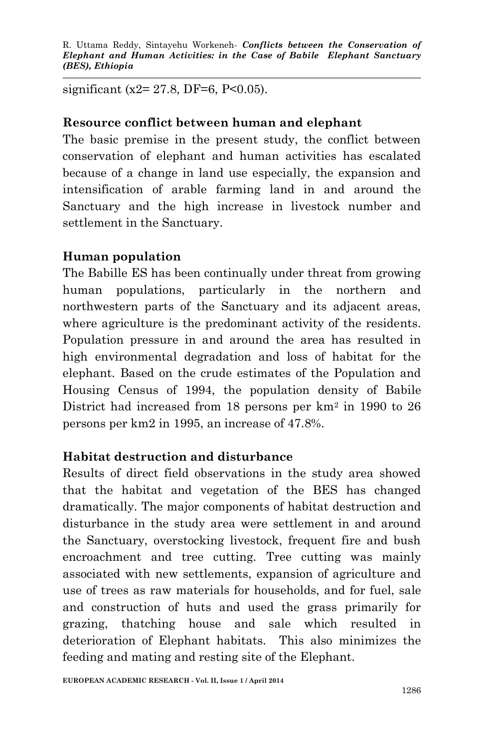significant (x2= 27.8, DF=6, P<0.05).

#### **Resource conflict between human and elephant**

The basic premise in the present study, the conflict between conservation of elephant and human activities has escalated because of a change in land use especially, the expansion and intensification of arable farming land in and around the Sanctuary and the high increase in livestock number and settlement in the Sanctuary.

## **Human population**

The Babille ES has been continually under threat from growing human populations, particularly in the northern and northwestern parts of the Sanctuary and its adjacent areas, where agriculture is the predominant activity of the residents. Population pressure in and around the area has resulted in high environmental degradation and loss of habitat for the elephant. Based on the crude estimates of the Population and Housing Census of 1994, the population density of Babile District had increased from 18 persons per km<sup>2</sup> in 1990 to 26 persons per km2 in 1995, an increase of 47.8%.

## **Habitat destruction and disturbance**

Results of direct field observations in the study area showed that the habitat and vegetation of the BES has changed dramatically. The major components of habitat destruction and disturbance in the study area were settlement in and around the Sanctuary, overstocking livestock, frequent fire and bush encroachment and tree cutting. Tree cutting was mainly associated with new settlements, expansion of agriculture and use of trees as raw materials for households, and for fuel, sale and construction of huts and used the grass primarily for grazing, thatching house and sale which resulted in deterioration of Elephant habitats. This also minimizes the feeding and mating and resting site of the Elephant.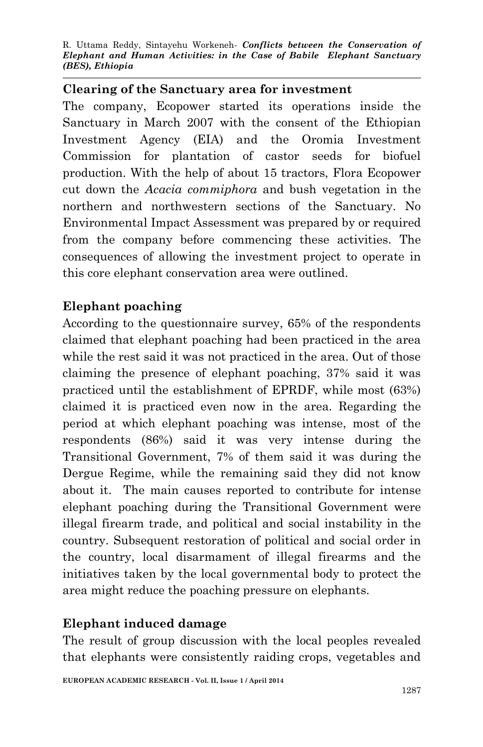#### **Clearing of the Sanctuary area for investment**

The company, Ecopower started its operations inside the Sanctuary in March 2007 with the consent of the Ethiopian Investment Agency (EIA) and the Oromia Investment Commission for plantation of castor seeds for biofuel production. With the help of about 15 tractors, Flora Ecopower cut down the *Acacia commiphora* and bush vegetation in the northern and northwestern sections of the Sanctuary. No Environmental Impact Assessment was prepared by or required from the company before commencing these activities. The consequences of allowing the investment project to operate in this core elephant conservation area were outlined.

#### **Elephant poaching**

According to the questionnaire survey, 65% of the respondents claimed that elephant poaching had been practiced in the area while the rest said it was not practiced in the area. Out of those claiming the presence of elephant poaching, 37% said it was practiced until the establishment of EPRDF, while most (63%) claimed it is practiced even now in the area. Regarding the period at which elephant poaching was intense, most of the respondents (86%) said it was very intense during the Transitional Government, 7% of them said it was during the Dergue Regime, while the remaining said they did not know about it.The main causes reported to contribute for intense elephant poaching during the Transitional Government were illegal firearm trade, and political and social instability in the country. Subsequent restoration of political and social order in the country, local disarmament of illegal firearms and the initiatives taken by the local governmental body to protect the area might reduce the poaching pressure on elephants.

#### **Elephant induced damage**

The result of group discussion with the local peoples revealed that elephants were consistently raiding crops, vegetables and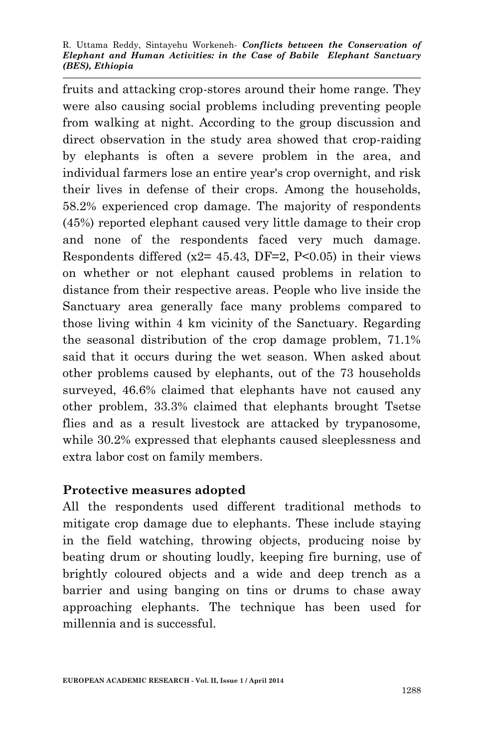fruits and attacking crop-stores around their home range. They were also causing social problems including preventing people from walking at night. According to the group discussion and direct observation in the study area showed that crop-raiding by elephants is often a severe problem in the area, and individual farmers lose an entire year's crop overnight, and risk their lives in defense of their crops. Among the households, 58.2% experienced crop damage. The majority of respondents (45%) reported elephant caused very little damage to their crop and none of the respondents faced very much damage. Respondents differed ( $x2=45.43$ , DF=2, P<0.05) in their views on whether or not elephant caused problems in relation to distance from their respective areas. People who live inside the Sanctuary area generally face many problems compared to those living within 4 km vicinity of the Sanctuary. Regarding the seasonal distribution of the crop damage problem, 71.1% said that it occurs during the wet season. When asked about other problems caused by elephants, out of the 73 households surveyed, 46.6% claimed that elephants have not caused any other problem, 33.3% claimed that elephants brought Tsetse flies and as a result livestock are attacked by trypanosome, while 30.2% expressed that elephants caused sleeplessness and extra labor cost on family members.

#### **Protective measures adopted**

All the respondents used different traditional methods to mitigate crop damage due to elephants. These include staying in the field watching, throwing objects, producing noise by beating drum or shouting loudly, keeping fire burning, use of brightly coloured objects and a wide and deep trench as a barrier and using banging on tins or drums to chase away approaching elephants. The technique has been used for millennia and is successful.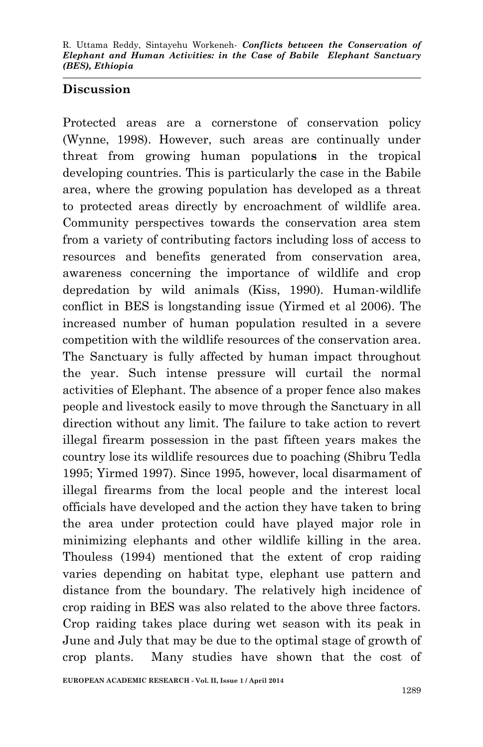#### **Discussion**

Protected areas are a cornerstone of conservation policy (Wynne, 1998). However, such areas are continually under threat from growing human population**s** in the tropical developing countries. This is particularly the case in the Babile area, where the growing population has developed as a threat to protected areas directly by encroachment of wildlife area. Community perspectives towards the conservation area stem from a variety of contributing factors including loss of access to resources and benefits generated from conservation area, awareness concerning the importance of wildlife and crop depredation by wild animals (Kiss, 1990). Human-wildlife conflict in BES is longstanding issue (Yirmed et al 2006). The increased number of human population resulted in a severe competition with the wildlife resources of the conservation area. The Sanctuary is fully affected by human impact throughout the year. Such intense pressure will curtail the normal activities of Elephant. The absence of a proper fence also makes people and livestock easily to move through the Sanctuary in all direction without any limit. The failure to take action to revert illegal firearm possession in the past fifteen years makes the country lose its wildlife resources due to poaching (Shibru Tedla 1995; Yirmed 1997). Since 1995, however, local disarmament of illegal firearms from the local people and the interest local officials have developed and the action they have taken to bring the area under protection could have played major role in minimizing elephants and other wildlife killing in the area. Thouless (1994) mentioned that the extent of crop raiding varies depending on habitat type, elephant use pattern and distance from the boundary. The relatively high incidence of crop raiding in BES was also related to the above three factors. Crop raiding takes place during wet season with its peak in June and July that may be due to the optimal stage of growth of crop plants. Many studies have shown that the cost of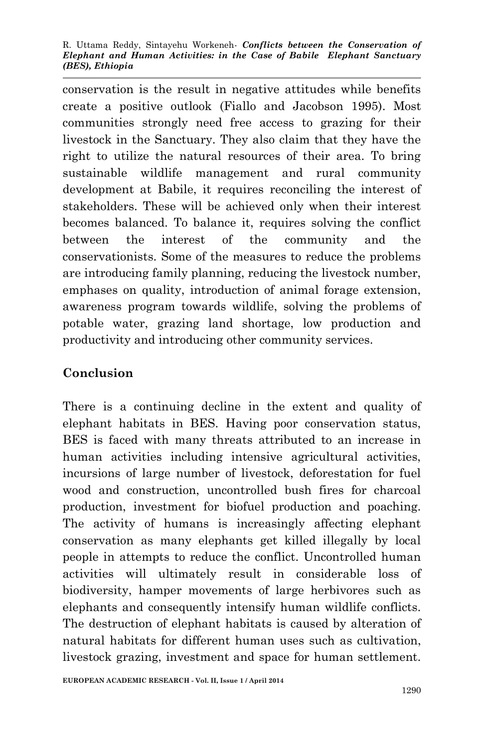conservation is the result in negative attitudes while benefits create a positive outlook (Fiallo and Jacobson 1995). Most communities strongly need free access to grazing for their livestock in the Sanctuary. They also claim that they have the right to utilize the natural resources of their area. To bring sustainable wildlife management and rural community development at Babile, it requires reconciling the interest of stakeholders. These will be achieved only when their interest becomes balanced. To balance it, requires solving the conflict between the interest of the community and the conservationists. Some of the measures to reduce the problems are introducing family planning, reducing the livestock number, emphases on quality, introduction of animal forage extension, awareness program towards wildlife, solving the problems of potable water, grazing land shortage, low production and productivity and introducing other community services.

## **Conclusion**

There is a continuing decline in the extent and quality of elephant habitats in BES. Having poor conservation status, BES is faced with many threats attributed to an increase in human activities including intensive agricultural activities, incursions of large number of livestock, deforestation for fuel wood and construction, uncontrolled bush fires for charcoal production, investment for biofuel production and poaching. The activity of humans is increasingly affecting elephant conservation as many elephants get killed illegally by local people in attempts to reduce the conflict. Uncontrolled human activities will ultimately result in considerable loss of biodiversity, hamper movements of large herbivores such as elephants and consequently intensify human wildlife conflicts. The destruction of elephant habitats is caused by alteration of natural habitats for different human uses such as cultivation, livestock grazing, investment and space for human settlement.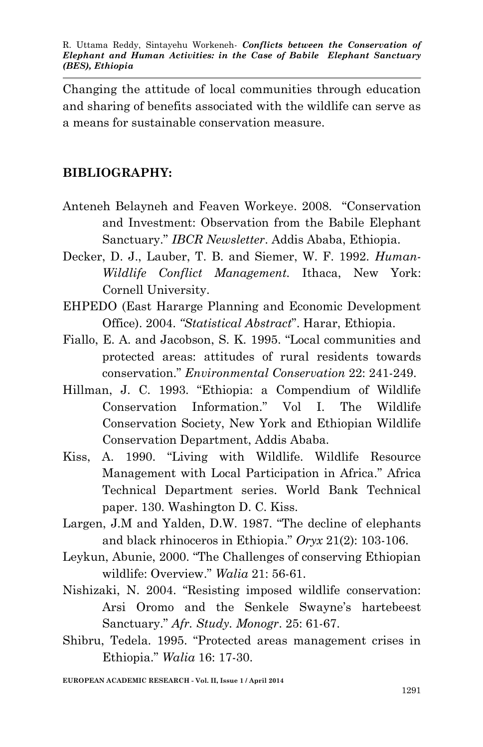Changing the attitude of local communities through education and sharing of benefits associated with the wildlife can serve as a means for sustainable conservation measure.

#### **BIBLIOGRAPHY:**

- Anteneh Belayneh and Feaven Workeye. 2008. "Conservation and Investment: Observation from the Babile Elephant Sanctuary." *IBCR Newsletter*. Addis Ababa, Ethiopia.
- Decker, D. J., Lauber, T. B. and Siemer, W. F. 1992. *Human-Wildlife Conflict Management.* Ithaca, New York: Cornell University.
- EHPEDO (East Hararge Planning and Economic Development Office). 2004. *"Statistical Abstract*". Harar, Ethiopia.
- Fiallo, E. A. and Jacobson, S. K. 1995. "Local communities and protected areas: attitudes of rural residents towards conservation." *Environmental Conservation* 22: 241-249.
- Hillman, J. C. 1993. "Ethiopia: a Compendium of Wildlife Conservation Information." Vol I. The Wildlife Conservation Society, New York and Ethiopian Wildlife Conservation Department, Addis Ababa.
- Kiss, A. 1990. "Living with Wildlife. Wildlife Resource Management with Local Participation in Africa." Africa Technical Department series. World Bank Technical paper. 130. Washington D. C. Kiss.
- Largen, J.M and Yalden, D.W. 1987. "The decline of elephants and black rhinoceros in Ethiopia." *Oryx* 21(2): 103-106.
- Leykun, Abunie, 2000. "The Challenges of conserving Ethiopian wildlife: Overview." *Walia* 21: 56-61.
- Nishizaki, N. 2004. "Resisting imposed wildlife conservation: Arsi Oromo and the Senkele Swayne's hartebeest Sanctuary." *Afr. Study. Monogr*. 25: 61-67.
- Shibru, Tedela. 1995. "Protected areas management crises in Ethiopia." *Walia* 16: 17-30.